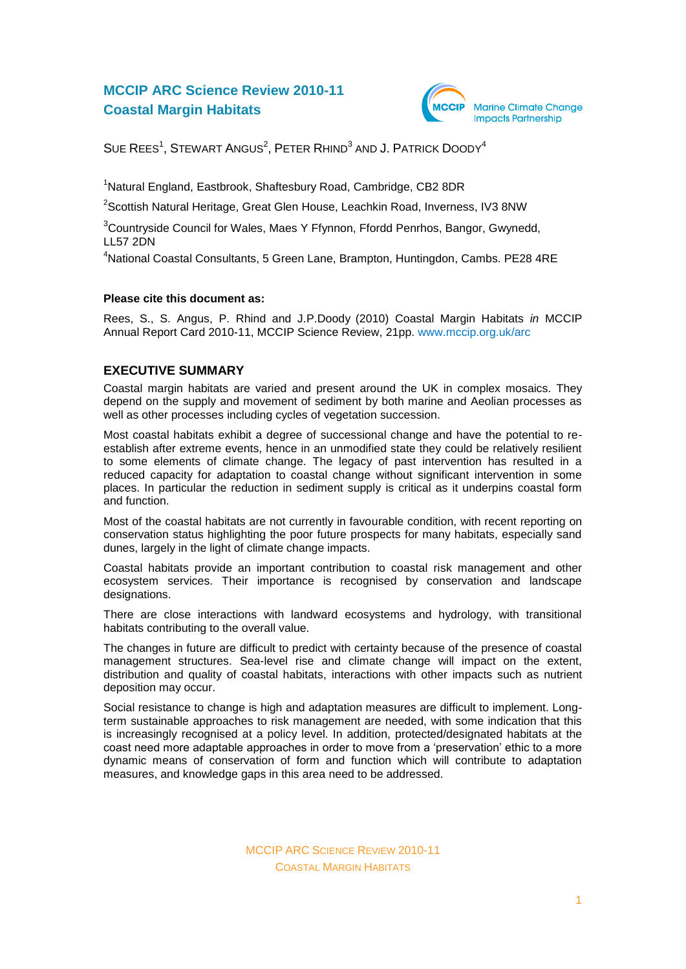# **MCCIP ARC Science Review 2010-11 Coastal Margin Habitats**



SUE REES<sup>1</sup>, STEWART ANGUS<sup>2</sup>, PETER RHIND<sup>3</sup> AND J. PATRICK DOODY<sup>4</sup>

<sup>1</sup>Natural England, Eastbrook, Shaftesbury Road, Cambridge, CB2 8DR

 $^{2}$ Scottish Natural Heritage, Great Glen House, Leachkin Road, Inverness, IV3 8NW

<sup>3</sup>Countryside Council for Wales, Maes Y Ffynnon, Ffordd Penrhos, Bangor, Gwynedd, LL57 2DN

<sup>4</sup>National Coastal Consultants, 5 Green Lane, Brampton, Huntingdon, Cambs. PE28 4RE

### **Please cite this document as:**

Rees, S., S. Angus, P. Rhind and J.P.Doody (2010) Coastal Margin Habitats *in* MCCIP Annual Report Card 2010-11, MCCIP Science Review, 21pp. [www.mccip.org.uk/arc](http://www.mccip.org.uk/arc)

# **EXECUTIVE SUMMARY**

Coastal margin habitats are varied and present around the UK in complex mosaics. They depend on the supply and movement of sediment by both marine and Aeolian processes as well as other processes including cycles of vegetation succession.

Most coastal habitats exhibit a degree of successional change and have the potential to reestablish after extreme events, hence in an unmodified state they could be relatively resilient to some elements of climate change. The legacy of past intervention has resulted in a reduced capacity for adaptation to coastal change without significant intervention in some places. In particular the reduction in sediment supply is critical as it underpins coastal form and function.

Most of the coastal habitats are not currently in favourable condition, with recent reporting on conservation status highlighting the poor future prospects for many habitats, especially sand dunes, largely in the light of climate change impacts.

Coastal habitats provide an important contribution to coastal risk management and other ecosystem services. Their importance is recognised by conservation and landscape designations.

There are close interactions with landward ecosystems and hydrology, with transitional habitats contributing to the overall value.

The changes in future are difficult to predict with certainty because of the presence of coastal management structures. Sea-level rise and climate change will impact on the extent, distribution and quality of coastal habitats, interactions with other impacts such as nutrient deposition may occur.

Social resistance to change is high and adaptation measures are difficult to implement. Longterm sustainable approaches to risk management are needed, with some indication that this is increasingly recognised at a policy level. In addition, protected/designated habitats at the coast need more adaptable approaches in order to move from a 'preservation' ethic to a more dynamic means of conservation of form and function which will contribute to adaptation measures, and knowledge gaps in this area need to be addressed.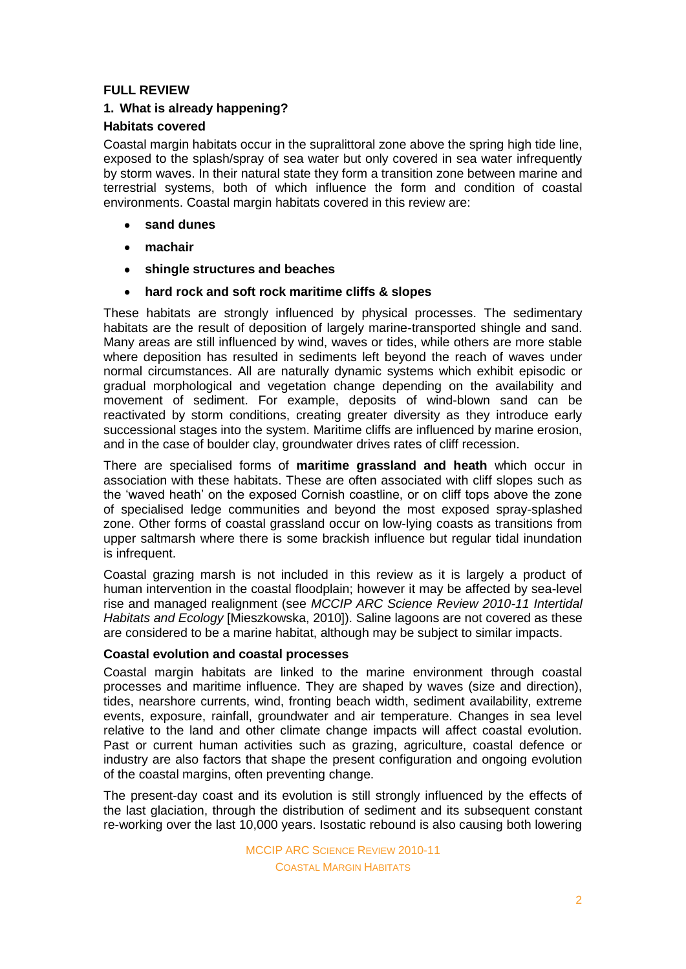# **FULL REVIEW**

# **1. What is already happening?**

# **Habitats covered**

Coastal margin habitats occur in the supralittoral zone above the spring high tide line, exposed to the splash/spray of sea water but only covered in sea water infrequently by storm waves. In their natural state they form a transition zone between marine and terrestrial systems, both of which influence the form and condition of coastal environments. Coastal margin habitats covered in this review are:

- **sand dunes**
- **machair**
- **shingle structures and beaches**  $\bullet$
- **hard rock and soft rock maritime cliffs & slopes**  $\bullet$

These habitats are strongly influenced by physical processes. The sedimentary habitats are the result of deposition of largely marine-transported shingle and sand. Many areas are still influenced by wind, waves or tides, while others are more stable where deposition has resulted in sediments left beyond the reach of waves under normal circumstances. All are naturally dynamic systems which exhibit episodic or gradual morphological and vegetation change depending on the availability and movement of sediment. For example, deposits of wind-blown sand can be reactivated by storm conditions, creating greater diversity as they introduce early successional stages into the system. Maritime cliffs are influenced by marine erosion, and in the case of boulder clay, groundwater drives rates of cliff recession.

There are specialised forms of **maritime grassland and heath** which occur in association with these habitats. These are often associated with cliff slopes such as the 'waved heath' on the exposed Cornish coastline, or on cliff tops above the zone of specialised ledge communities and beyond the most exposed spray-splashed zone. Other forms of coastal grassland occur on low-lying coasts as transitions from upper saltmarsh where there is some brackish influence but regular tidal inundation is infrequent.

Coastal grazing marsh is not included in this review as it is largely a product of human intervention in the coastal floodplain; however it may be affected by sea-level rise and managed realignment (see *MCCIP ARC Science Review 2010-11 Intertidal Habitats and Ecology* [Mieszkowska, 2010]). Saline lagoons are not covered as these are considered to be a marine habitat, although may be subject to similar impacts.

# **Coastal evolution and coastal processes**

Coastal margin habitats are linked to the marine environment through coastal processes and maritime influence. They are shaped by waves (size and direction), tides, nearshore currents, wind, fronting beach width, sediment availability, extreme events, exposure, rainfall, groundwater and air temperature. Changes in sea level relative to the land and other climate change impacts will affect coastal evolution. Past or current human activities such as grazing, agriculture, coastal defence or industry are also factors that shape the present configuration and ongoing evolution of the coastal margins, often preventing change.

The present-day coast and its evolution is still strongly influenced by the effects of the last glaciation, through the distribution of sediment and its subsequent constant re-working over the last 10,000 years. Isostatic rebound is also causing both lowering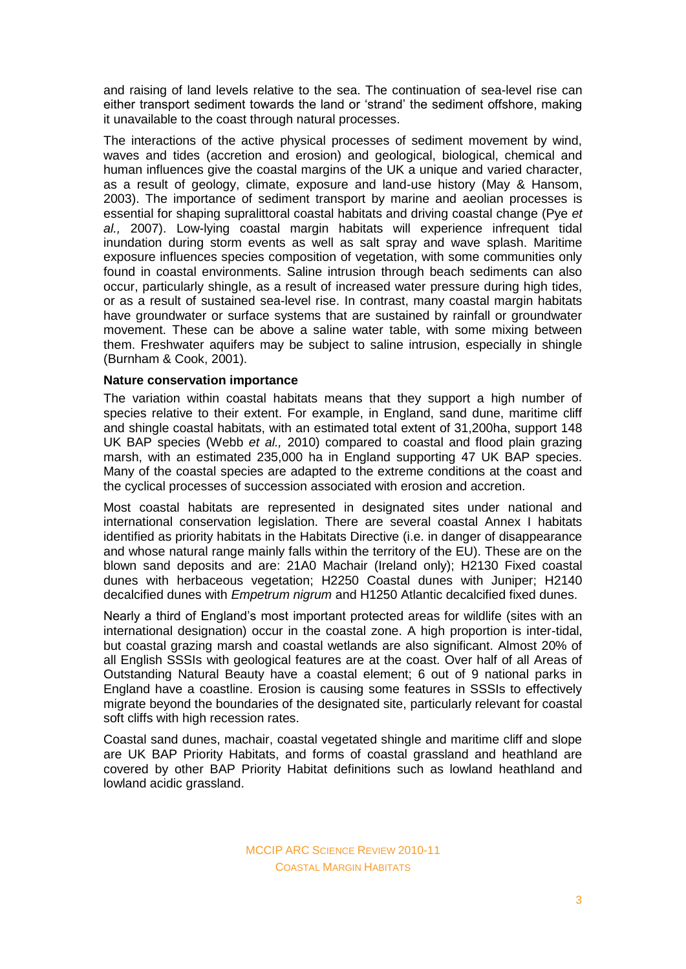and raising of land levels relative to the sea. The continuation of sea-level rise can either transport sediment towards the land or 'strand' the sediment offshore, making it unavailable to the coast through natural processes.

The interactions of the active physical processes of sediment movement by wind, waves and tides (accretion and erosion) and geological, biological, chemical and human influences give the coastal margins of the UK a unique and varied character, as a result of geology, climate, exposure and land-use history (May & Hansom, 2003). The importance of sediment transport by marine and aeolian processes is essential for shaping supralittoral coastal habitats and driving coastal change (Pye *et al.,* 2007). Low-lying coastal margin habitats will experience infrequent tidal inundation during storm events as well as salt spray and wave splash. Maritime exposure influences species composition of vegetation, with some communities only found in coastal environments. Saline intrusion through beach sediments can also occur, particularly shingle, as a result of increased water pressure during high tides, or as a result of sustained sea-level rise. In contrast, many coastal margin habitats have groundwater or surface systems that are sustained by rainfall or groundwater movement. These can be above a saline water table, with some mixing between them. Freshwater aquifers may be subject to saline intrusion, especially in shingle (Burnham & Cook, 2001).

### **Nature conservation importance**

The variation within coastal habitats means that they support a high number of species relative to their extent. For example, in England, sand dune, maritime cliff and shingle coastal habitats, with an estimated total extent of 31,200ha, support 148 UK BAP species (Webb *et al.,* 2010) compared to coastal and flood plain grazing marsh, with an estimated 235,000 ha in England supporting 47 UK BAP species. Many of the coastal species are adapted to the extreme conditions at the coast and the cyclical processes of succession associated with erosion and accretion.

Most coastal habitats are represented in designated sites under national and international conservation legislation. There are several coastal Annex I habitats identified as priority habitats in the Habitats Directive (i.e. in danger of disappearance and whose natural range mainly falls within the territory of the EU). These are on the blown sand deposits and are: 21A0 Machair (Ireland only); H2130 Fixed coastal dunes with herbaceous vegetation; H2250 Coastal dunes with Juniper; H2140 decalcified dunes with *Empetrum nigrum* and H1250 Atlantic decalcified fixed dunes.

Nearly a third of England's most important protected areas for wildlife (sites with an international designation) occur in the coastal zone. A high proportion is inter-tidal, but coastal grazing marsh and coastal wetlands are also significant. Almost 20% of all English SSSIs with geological features are at the coast. Over half of all Areas of Outstanding Natural Beauty have a coastal element; 6 out of 9 national parks in England have a coastline. Erosion is causing some features in SSSIs to effectively migrate beyond the boundaries of the designated site, particularly relevant for coastal soft cliffs with high recession rates.

Coastal sand dunes, machair, coastal vegetated shingle and maritime cliff and slope are UK BAP Priority Habitats, and forms of coastal grassland and heathland are covered by other BAP Priority Habitat definitions such as lowland heathland and lowland acidic grassland.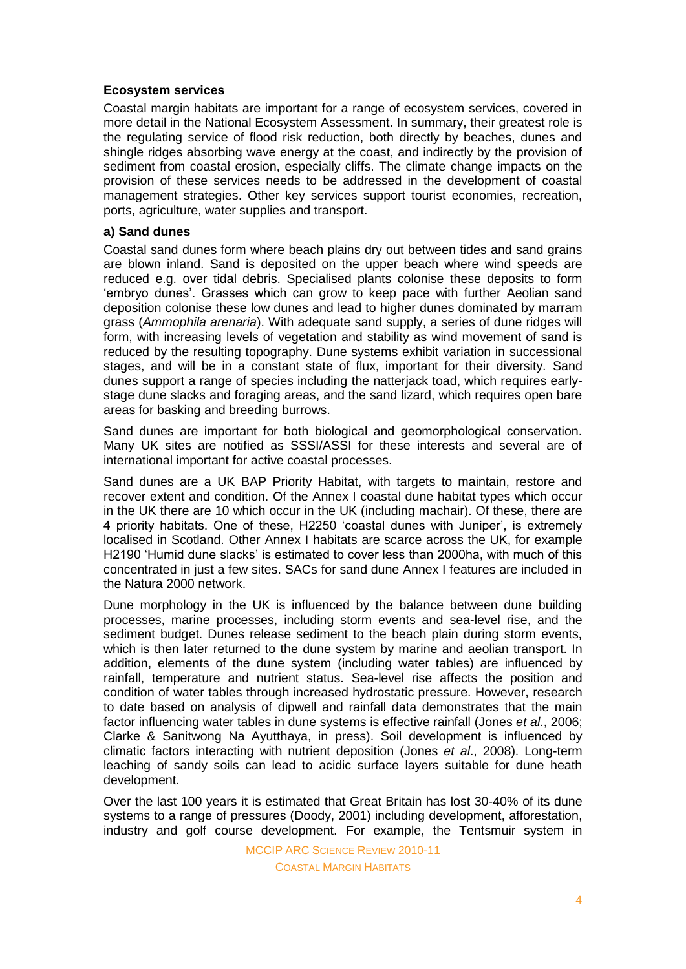### **Ecosystem services**

Coastal margin habitats are important for a range of ecosystem services, covered in more detail in the National Ecosystem Assessment. In summary, their greatest role is the regulating service of flood risk reduction, both directly by beaches, dunes and shingle ridges absorbing wave energy at the coast, and indirectly by the provision of sediment from coastal erosion, especially cliffs. The climate change impacts on the provision of these services needs to be addressed in the development of coastal management strategies. Other key services support tourist economies, recreation, ports, agriculture, water supplies and transport.

### **a) Sand dunes**

Coastal sand dunes form where beach plains dry out between tides and sand grains are blown inland. Sand is deposited on the upper beach where wind speeds are reduced e.g. over tidal debris. Specialised plants colonise these deposits to form 'embryo dunes'. Grasses which can grow to keep pace with further Aeolian sand deposition colonise these low dunes and lead to higher dunes dominated by marram grass (*Ammophila arenaria*). With adequate sand supply, a series of dune ridges will form, with increasing levels of vegetation and stability as wind movement of sand is reduced by the resulting topography. Dune systems exhibit variation in successional stages, and will be in a constant state of flux, important for their diversity. Sand dunes support a range of species including the natterjack toad, which requires earlystage dune slacks and foraging areas, and the sand lizard, which requires open bare areas for basking and breeding burrows.

Sand dunes are important for both biological and geomorphological conservation. Many UK sites are notified as SSSI/ASSI for these interests and several are of international important for active coastal processes.

Sand dunes are a UK BAP Priority Habitat, with targets to maintain, restore and recover extent and condition. Of the Annex I coastal dune habitat types which occur in the UK there are 10 which occur in the UK (including machair). Of these, there are 4 priority habitats. One of these, H2250 'coastal dunes with Juniper', is extremely localised in Scotland. Other Annex I habitats are scarce across the UK, for example H2190 'Humid dune slacks' is estimated to cover less than 2000ha, with much of this concentrated in just a few sites. SACs for sand dune Annex I features are included in the Natura 2000 network.

Dune morphology in the UK is influenced by the balance between dune building processes, marine processes, including storm events and sea-level rise, and the sediment budget. Dunes release sediment to the beach plain during storm events, which is then later returned to the dune system by marine and aeolian transport. In addition, elements of the dune system (including water tables) are influenced by rainfall, temperature and nutrient status. Sea-level rise affects the position and condition of water tables through increased hydrostatic pressure. However, research to date based on analysis of dipwell and rainfall data demonstrates that the main factor influencing water tables in dune systems is effective rainfall (Jones *et al*., 2006; Clarke & Sanitwong Na Ayutthaya, in press). Soil development is influenced by climatic factors interacting with nutrient deposition (Jones *et al*., 2008). Long-term leaching of sandy soils can lead to acidic surface layers suitable for dune heath development.

Over the last 100 years it is estimated that Great Britain has lost 30-40% of its dune systems to a range of pressures (Doody, 2001) including development, afforestation, industry and golf course development. For example, the Tentsmuir system in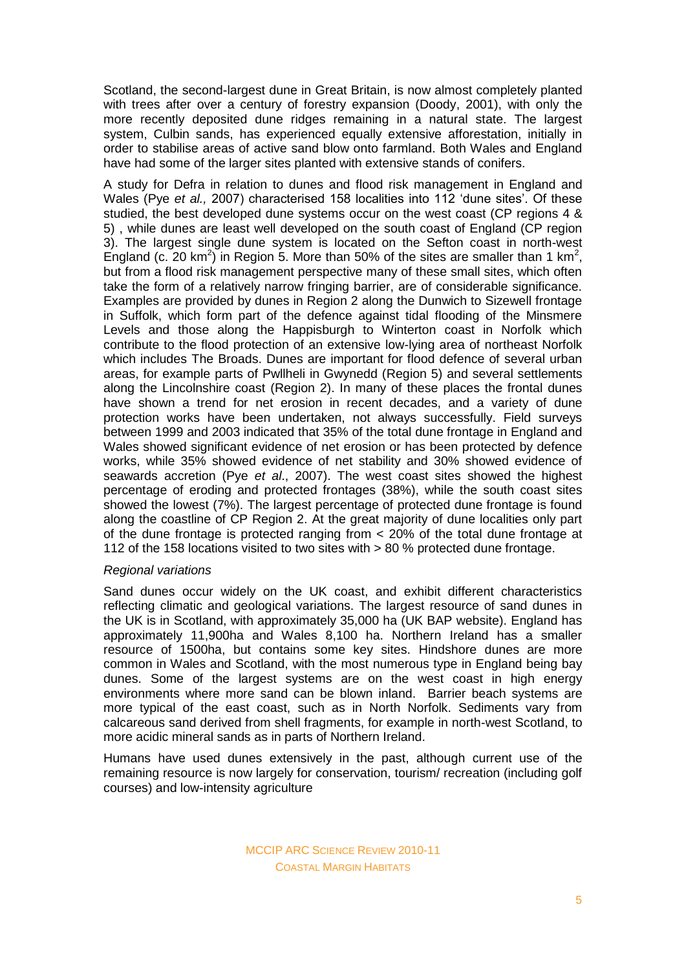Scotland, the second-largest dune in Great Britain, is now almost completely planted with trees after over a century of forestry expansion (Doody, 2001), with only the more recently deposited dune ridges remaining in a natural state. The largest system, Culbin sands, has experienced equally extensive afforestation, initially in order to stabilise areas of active sand blow onto farmland. Both Wales and England have had some of the larger sites planted with extensive stands of conifers.

A study for Defra in relation to dunes and flood risk management in England and Wales (Pye *et al.,* 2007) characterised 158 localities into 112 'dune sites'. Of these studied, the best developed dune systems occur on the west coast (CP regions 4 & 5) , while dunes are least well developed on the south coast of England (CP region 3). The largest single dune system is located on the Sefton coast in north-west England (c. 20  $km^2$ ) in Region 5. More than 50% of the sites are smaller than 1  $km^2$ , but from a flood risk management perspective many of these small sites, which often take the form of a relatively narrow fringing barrier, are of considerable significance. Examples are provided by dunes in Region 2 along the Dunwich to Sizewell frontage in Suffolk, which form part of the defence against tidal flooding of the Minsmere Levels and those along the Happisburgh to Winterton coast in Norfolk which contribute to the flood protection of an extensive low-lying area of northeast Norfolk which includes The Broads. Dunes are important for flood defence of several urban areas, for example parts of Pwllheli in Gwynedd (Region 5) and several settlements along the Lincolnshire coast (Region 2). In many of these places the frontal dunes have shown a trend for net erosion in recent decades, and a variety of dune protection works have been undertaken, not always successfully. Field surveys between 1999 and 2003 indicated that 35% of the total dune frontage in England and Wales showed significant evidence of net erosion or has been protected by defence works, while 35% showed evidence of net stability and 30% showed evidence of seawards accretion (Pye *et al*., 2007). The west coast sites showed the highest percentage of eroding and protected frontages (38%), while the south coast sites showed the lowest (7%). The largest percentage of protected dune frontage is found along the coastline of CP Region 2. At the great majority of dune localities only part of the dune frontage is protected ranging from < 20% of the total dune frontage at 112 of the 158 locations visited to two sites with > 80 % protected dune frontage.

### *Regional variations*

Sand dunes occur widely on the UK coast, and exhibit different characteristics reflecting climatic and geological variations. The largest resource of sand dunes in the UK is in Scotland, with approximately 35,000 ha (UK BAP website). England has approximately 11,900ha and Wales 8,100 ha. Northern Ireland has a smaller resource of 1500ha, but contains some key sites. Hindshore dunes are more common in Wales and Scotland, with the most numerous type in England being bay dunes. Some of the largest systems are on the west coast in high energy environments where more sand can be blown inland. Barrier beach systems are more typical of the east coast, such as in North Norfolk. Sediments vary from calcareous sand derived from shell fragments, for example in north-west Scotland, to more acidic mineral sands as in parts of Northern Ireland.

Humans have used dunes extensively in the past, although current use of the remaining resource is now largely for conservation, tourism/ recreation (including golf courses) and low-intensity agriculture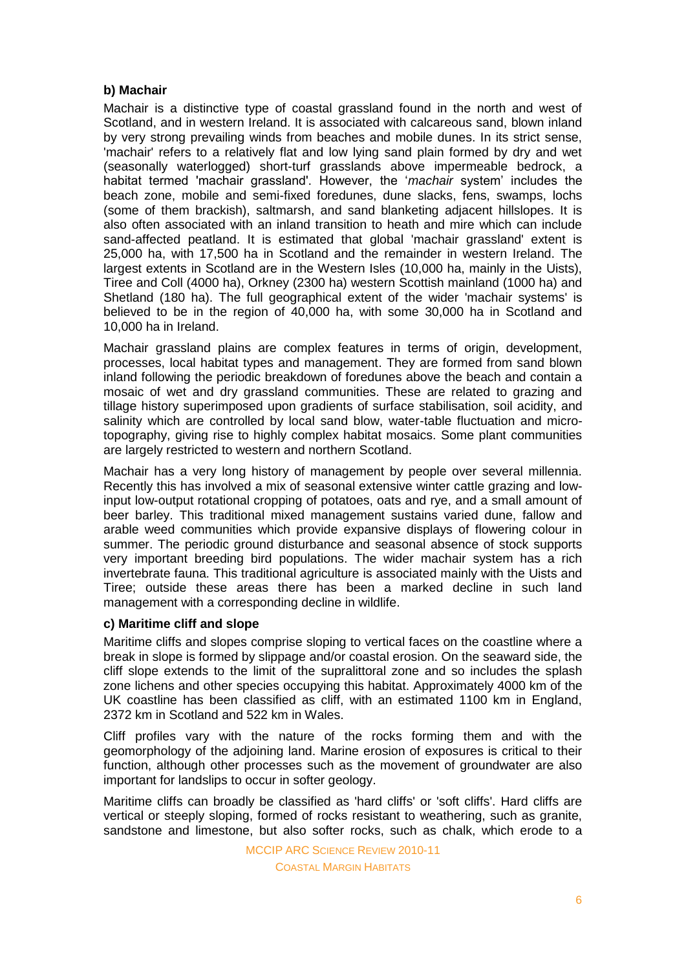# **b) Machair**

Machair is a distinctive type of coastal grassland found in the north and west of Scotland, and in western Ireland. It is associated with calcareous sand, blown inland by very strong prevailing winds from beaches and mobile dunes. In its strict sense, 'machair' refers to a relatively flat and low lying sand plain formed by dry and wet (seasonally waterlogged) short-turf grasslands above impermeable bedrock, a habitat termed 'machair grassland'. However, the '*machair* system' includes the beach zone, mobile and semi-fixed foredunes, dune slacks, fens, swamps, lochs (some of them brackish), saltmarsh, and sand blanketing adjacent hillslopes. It is also often associated with an inland transition to heath and mire which can include sand-affected peatland. It is estimated that global 'machair grassland' extent is 25,000 ha, with 17,500 ha in Scotland and the remainder in western Ireland. The largest extents in Scotland are in the Western Isles (10,000 ha, mainly in the Uists), Tiree and Coll (4000 ha), Orkney (2300 ha) western Scottish mainland (1000 ha) and Shetland (180 ha). The full geographical extent of the wider 'machair systems' is believed to be in the region of 40,000 ha, with some 30,000 ha in Scotland and 10,000 ha in Ireland.

Machair grassland plains are complex features in terms of origin, development, processes, local habitat types and management. They are formed from sand blown inland following the periodic breakdown of foredunes above the beach and contain a mosaic of wet and dry grassland communities. These are related to grazing and tillage history superimposed upon gradients of surface stabilisation, soil acidity, and salinity which are controlled by local sand blow, water-table fluctuation and microtopography, giving rise to highly complex habitat mosaics. Some plant communities are largely restricted to western and northern Scotland.

Machair has a very long history of management by people over several millennia. Recently this has involved a mix of seasonal extensive winter cattle grazing and lowinput low-output rotational cropping of potatoes, oats and rye, and a small amount of beer barley. This traditional mixed management sustains varied dune, fallow and arable weed communities which provide expansive displays of flowering colour in summer. The periodic ground disturbance and seasonal absence of stock supports very important breeding bird populations. The wider machair system has a rich invertebrate fauna. This traditional agriculture is associated mainly with the Uists and Tiree; outside these areas there has been a marked decline in such land management with a corresponding decline in wildlife.

# **c) Maritime cliff and slope**

Maritime cliffs and slopes comprise sloping to vertical faces on the coastline where a break in slope is formed by slippage and/or coastal erosion. On the seaward side, the cliff slope extends to the limit of the supralittoral zone and so includes the splash zone lichens and other species occupying this habitat. Approximately 4000 km of the UK coastline has been classified as cliff, with an estimated 1100 km in England, 2372 km in Scotland and 522 km in Wales.

Cliff profiles vary with the nature of the rocks forming them and with the geomorphology of the adjoining land. Marine erosion of exposures is critical to their function, although other processes such as the movement of groundwater are also important for landslips to occur in softer geology.

Maritime cliffs can broadly be classified as 'hard cliffs' or 'soft cliffs'. Hard cliffs are vertical or steeply sloping, formed of rocks resistant to weathering, such as granite, sandstone and limestone, but also softer rocks, such as chalk, which erode to a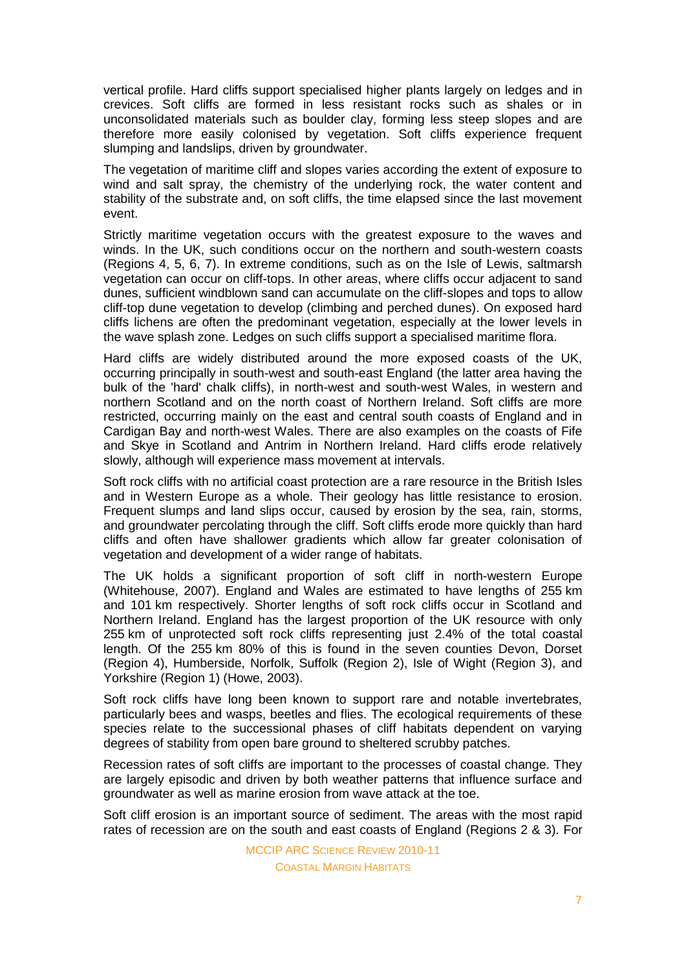vertical profile. Hard cliffs support specialised higher plants largely on ledges and in crevices. Soft cliffs are formed in less resistant rocks such as shales or in unconsolidated materials such as boulder clay, forming less steep slopes and are therefore more easily colonised by vegetation. Soft cliffs experience frequent slumping and landslips, driven by groundwater.

The vegetation of maritime cliff and slopes varies according the extent of exposure to wind and salt spray, the chemistry of the underlying rock, the water content and stability of the substrate and, on soft cliffs, the time elapsed since the last movement event.

Strictly maritime vegetation occurs with the greatest exposure to the waves and winds. In the UK, such conditions occur on the northern and south-western coasts (Regions 4, 5, 6, 7). In extreme conditions, such as on the Isle of Lewis, saltmarsh vegetation can occur on cliff-tops. In other areas, where cliffs occur adjacent to sand dunes, sufficient windblown sand can accumulate on the cliff-slopes and tops to allow cliff-top dune vegetation to develop (climbing and perched dunes). On exposed hard cliffs lichens are often the predominant vegetation, especially at the lower levels in the wave splash zone. Ledges on such cliffs support a specialised maritime flora.

Hard cliffs are widely distributed around the more exposed coasts of the UK, occurring principally in south-west and south-east England (the latter area having the bulk of the 'hard' chalk cliffs), in north-west and south-west Wales, in western and northern Scotland and on the north coast of Northern Ireland. Soft cliffs are more restricted, occurring mainly on the east and central south coasts of England and in Cardigan Bay and north-west Wales. There are also examples on the coasts of Fife and Skye in Scotland and Antrim in Northern Ireland. Hard cliffs erode relatively slowly, although will experience mass movement at intervals.

Soft rock cliffs with no artificial coast protection are a rare resource in the British Isles and in Western Europe as a whole. Their geology has little resistance to erosion. Frequent slumps and land slips occur, caused by erosion by the sea, rain, storms, and groundwater percolating through the cliff. Soft cliffs erode more quickly than hard cliffs and often have shallower gradients which allow far greater colonisation of vegetation and development of a wider range of habitats.

The UK holds a significant proportion of soft cliff in north-western Europe (Whitehouse, 2007). England and Wales are estimated to have lengths of 255 km and 101 km respectively. Shorter lengths of soft rock cliffs occur in Scotland and Northern Ireland. England has the largest proportion of the UK resource with only 255 km of unprotected soft rock cliffs representing just 2.4% of the total coastal length. Of the 255 km 80% of this is found in the seven counties Devon, Dorset (Region 4), Humberside, Norfolk, Suffolk (Region 2), Isle of Wight (Region 3), and Yorkshire (Region 1) (Howe, 2003).

Soft rock cliffs have long been known to support rare and notable invertebrates, particularly bees and wasps, beetles and flies. The ecological requirements of these species relate to the successional phases of cliff habitats dependent on varying degrees of stability from open bare ground to sheltered scrubby patches.

Recession rates of soft cliffs are important to the processes of coastal change. They are largely episodic and driven by both weather patterns that influence surface and groundwater as well as marine erosion from wave attack at the toe.

Soft cliff erosion is an important source of sediment. The areas with the most rapid rates of recession are on the south and east coasts of England (Regions 2 & 3). For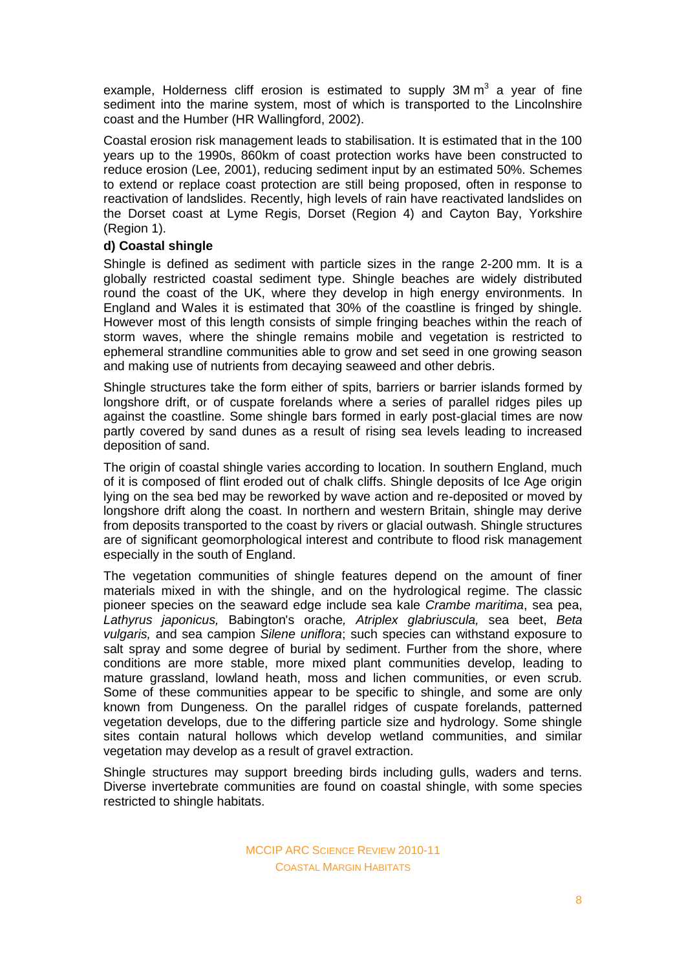example, Holderness cliff erosion is estimated to supply  $3M m<sup>3</sup>$  a year of fine sediment into the marine system, most of which is transported to the Lincolnshire coast and the Humber (HR Wallingford, 2002).

Coastal erosion risk management leads to stabilisation. It is estimated that in the 100 years up to the 1990s, 860km of coast protection works have been constructed to reduce erosion (Lee, 2001), reducing sediment input by an estimated 50%. Schemes to extend or replace coast protection are still being proposed, often in response to reactivation of landslides. Recently, high levels of rain have reactivated landslides on the Dorset coast at Lyme Regis, Dorset (Region 4) and Cayton Bay, Yorkshire (Region 1).

### **d) Coastal shingle**

Shingle is defined as sediment with particle sizes in the range 2-200 mm. It is a globally restricted coastal sediment type. Shingle beaches are widely distributed round the coast of the UK, where they develop in high energy environments. In England and Wales it is estimated that 30% of the coastline is fringed by shingle. However most of this length consists of simple fringing beaches within the reach of storm waves, where the shingle remains mobile and vegetation is restricted to ephemeral strandline communities able to grow and set seed in one growing season and making use of nutrients from decaying seaweed and other debris.

Shingle structures take the form either of spits, barriers or barrier islands formed by longshore drift, or of cuspate forelands where a series of parallel ridges piles up against the coastline. Some shingle bars formed in early post-glacial times are now partly covered by sand dunes as a result of rising sea levels leading to increased deposition of sand.

The origin of coastal shingle varies according to location. In southern England, much of it is composed of flint eroded out of chalk cliffs. Shingle deposits of Ice Age origin lying on the sea bed may be reworked by wave action and re-deposited or moved by longshore drift along the coast. In northern and western Britain, shingle may derive from deposits transported to the coast by rivers or glacial outwash. Shingle structures are of significant geomorphological interest and contribute to flood risk management especially in the south of England.

The vegetation communities of shingle features depend on the amount of finer materials mixed in with the shingle, and on the hydrological regime. The classic pioneer species on the seaward edge include sea kale *Crambe maritima*, sea pea, *Lathyrus japonicus,* Babington's orache*, Atriplex glabriuscula,* sea beet, *Beta vulgaris,* and sea campion *Silene uniflora*; such species can withstand exposure to salt spray and some degree of burial by sediment. Further from the shore, where conditions are more stable, more mixed plant communities develop, leading to mature grassland, lowland heath, moss and lichen communities, or even scrub. Some of these communities appear to be specific to shingle, and some are only known from Dungeness. On the parallel ridges of cuspate forelands, patterned vegetation develops, due to the differing particle size and hydrology. Some shingle sites contain natural hollows which develop wetland communities, and similar vegetation may develop as a result of gravel extraction.

Shingle structures may support breeding birds including gulls, waders and terns. Diverse invertebrate communities are found on coastal shingle, with some species restricted to shingle habitats.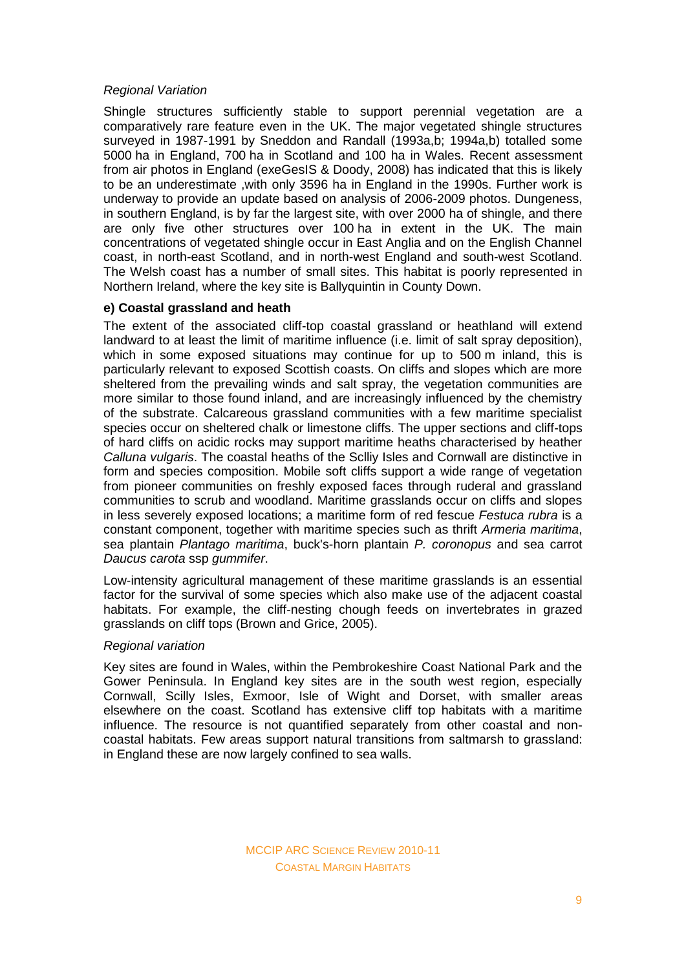### *Regional Variation*

Shingle structures sufficiently stable to support perennial vegetation are a comparatively rare feature even in the UK. The major vegetated shingle structures surveyed in 1987-1991 by Sneddon and Randall (1993a,b; 1994a,b) totalled some 5000 ha in England, 700 ha in Scotland and 100 ha in Wales. Recent assessment from air photos in England (exeGesIS & Doody, 2008) has indicated that this is likely to be an underestimate ,with only 3596 ha in England in the 1990s. Further work is underway to provide an update based on analysis of 2006-2009 photos. Dungeness, in southern England, is by far the largest site, with over 2000 ha of shingle, and there are only five other structures over 100 ha in extent in the UK. The main concentrations of vegetated shingle occur in East Anglia and on the English Channel coast, in north-east Scotland, and in north-west England and south-west Scotland. The Welsh coast has a number of small sites. This habitat is poorly represented in Northern Ireland, where the key site is Ballyquintin in County Down.

# **e) Coastal grassland and heath**

The extent of the associated cliff-top coastal grassland or heathland will extend landward to at least the limit of maritime influence (i.e. limit of salt spray deposition), which in some exposed situations may continue for up to 500 m inland, this is particularly relevant to exposed Scottish coasts. On cliffs and slopes which are more sheltered from the prevailing winds and salt spray, the vegetation communities are more similar to those found inland, and are increasingly influenced by the chemistry of the substrate. Calcareous grassland communities with a few maritime specialist species occur on sheltered chalk or limestone cliffs. The upper sections and cliff-tops of hard cliffs on acidic rocks may support maritime heaths characterised by heather *Calluna vulgaris*. The coastal heaths of the Sclliy Isles and Cornwall are distinctive in form and species composition. Mobile soft cliffs support a wide range of vegetation from pioneer communities on freshly exposed faces through ruderal and grassland communities to scrub and woodland. Maritime grasslands occur on cliffs and slopes in less severely exposed locations; a maritime form of red fescue *Festuca rubra* is a constant component, together with maritime species such as thrift *Armeria maritima*, sea plantain *Plantago maritima*, buck's-horn plantain *P. coronopus* and sea carrot *Daucus carota* ssp *gummifer*.

Low-intensity agricultural management of these maritime grasslands is an essential factor for the survival of some species which also make use of the adjacent coastal habitats. For example, the cliff-nesting chough feeds on invertebrates in grazed grasslands on cliff tops (Brown and Grice, 2005).

### *Regional variation*

Key sites are found in Wales, within the Pembrokeshire Coast National Park and the Gower Peninsula. In England key sites are in the south west region, especially Cornwall, Scilly Isles, Exmoor, Isle of Wight and Dorset, with smaller areas elsewhere on the coast. Scotland has extensive cliff top habitats with a maritime influence. The resource is not quantified separately from other coastal and noncoastal habitats. Few areas support natural transitions from saltmarsh to grassland: in England these are now largely confined to sea walls.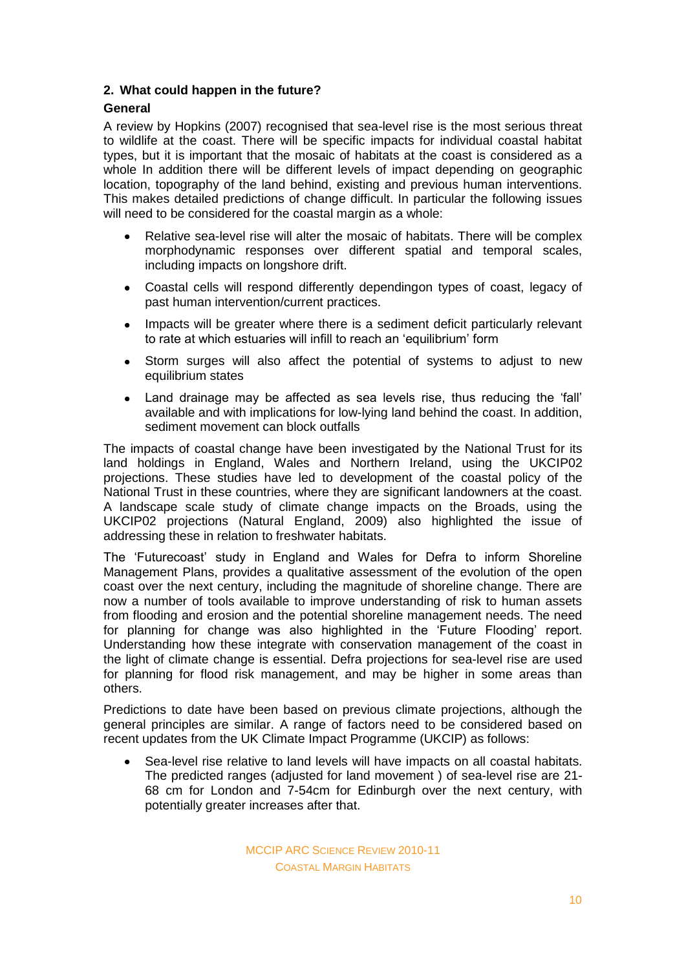# **2. What could happen in the future?**

# **General**

A review by Hopkins (2007) recognised that sea-level rise is the most serious threat to wildlife at the coast. There will be specific impacts for individual coastal habitat types, but it is important that the mosaic of habitats at the coast is considered as a whole In addition there will be different levels of impact depending on geographic location, topography of the land behind, existing and previous human interventions. This makes detailed predictions of change difficult. In particular the following issues will need to be considered for the coastal margin as a whole:

- Relative sea-level rise will alter the mosaic of habitats. There will be complex morphodynamic responses over different spatial and temporal scales, including impacts on longshore drift.
- Coastal cells will respond differently dependingon types of coast, legacy of  $\bullet$ past human intervention/current practices.
- $\bullet$ Impacts will be greater where there is a sediment deficit particularly relevant to rate at which estuaries will infill to reach an 'equilibrium' form
- Storm surges will also affect the potential of systems to adjust to new  $\bullet$ equilibrium states
- Land drainage may be affected as sea levels rise, thus reducing the 'fall'  $\bullet$ available and with implications for low-lying land behind the coast. In addition, sediment movement can block outfalls

The impacts of coastal change have been investigated by the National Trust for its land holdings in England, Wales and Northern Ireland, using the UKCIP02 projections. These studies have led to development of the coastal policy of the National Trust in these countries, where they are significant landowners at the coast. A landscape scale study of climate change impacts on the Broads, using the UKCIP02 projections (Natural England, 2009) also highlighted the issue of addressing these in relation to freshwater habitats.

The 'Futurecoast' study in England and Wales for Defra to inform Shoreline Management Plans, provides a qualitative assessment of the evolution of the open coast over the next century, including the magnitude of shoreline change. There are now a number of tools available to improve understanding of risk to human assets from flooding and erosion and the potential shoreline management needs. The need for planning for change was also highlighted in the 'Future Flooding' report. Understanding how these integrate with conservation management of the coast in the light of climate change is essential. Defra projections for sea-level rise are used for planning for flood risk management, and may be higher in some areas than others.

Predictions to date have been based on previous climate projections, although the general principles are similar. A range of factors need to be considered based on recent updates from the UK Climate Impact Programme (UKCIP) as follows:

Sea-level rise relative to land levels will have impacts on all coastal habitats. The predicted ranges (adjusted for land movement ) of sea-level rise are 21- 68 cm for London and 7-54cm for Edinburgh over the next century, with potentially greater increases after that.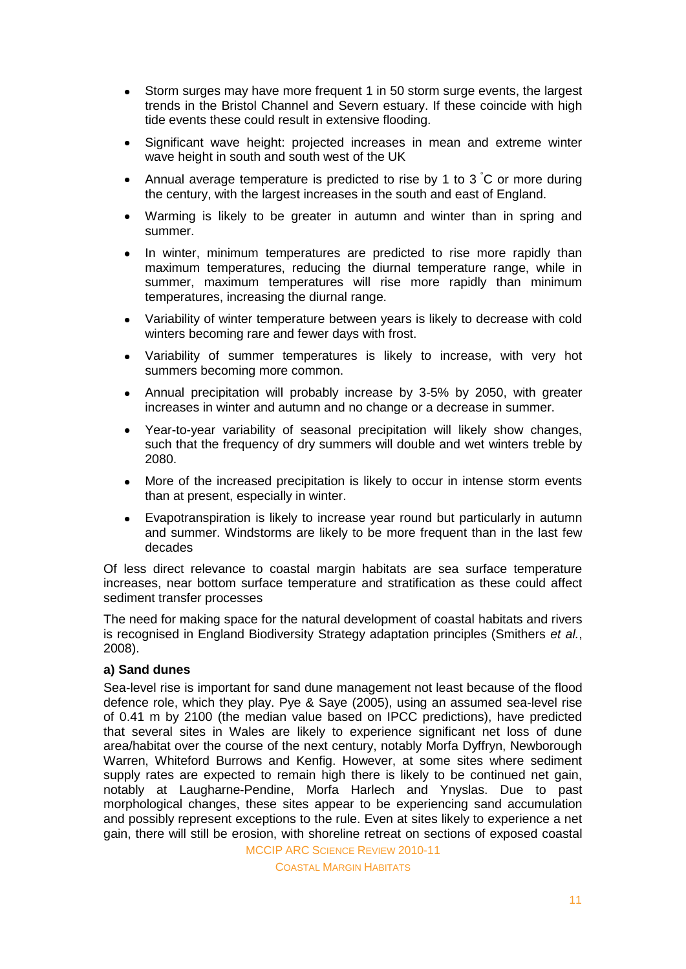- Storm surges may have more frequent 1 in 50 storm surge events, the largest  $\bullet$ trends in the Bristol Channel and Severn estuary. If these coincide with high tide events these could result in extensive flooding.
- Significant wave height: projected increases in mean and extreme winter wave height in south and south west of the UK
- Annual average temperature is predicted to rise by 1 to  $3\degree C$  or more during  $\bullet$ the century, with the largest increases in the south and east of England.
- Warming is likely to be greater in autumn and winter than in spring and summer.
- In winter, minimum temperatures are predicted to rise more rapidly than  $\bullet$ maximum temperatures, reducing the diurnal temperature range, while in summer, maximum temperatures will rise more rapidly than minimum temperatures, increasing the diurnal range.
- Variability of winter temperature between years is likely to decrease with cold winters becoming rare and fewer days with frost.
- Variability of summer temperatures is likely to increase, with very hot  $\bullet$ summers becoming more common.
- Annual precipitation will probably increase by 3-5% by 2050, with greater  $\bullet$ increases in winter and autumn and no change or a decrease in summer.
- Year-to-year variability of seasonal precipitation will likely show changes,  $\bullet$ such that the frequency of dry summers will double and wet winters treble by 2080.
- More of the increased precipitation is likely to occur in intense storm events than at present, especially in winter.
- Evapotranspiration is likely to increase year round but particularly in autumn and summer. Windstorms are likely to be more frequent than in the last few decades

Of less direct relevance to coastal margin habitats are sea surface temperature increases, near bottom surface temperature and stratification as these could affect sediment transfer processes

The need for making space for the natural development of coastal habitats and rivers is recognised in England Biodiversity Strategy adaptation principles (Smithers *et al.*, 2008).

### **a) Sand dunes**

Sea-level rise is important for sand dune management not least because of the flood defence role, which they play. Pye & Saye (2005), using an assumed sea-level rise of 0.41 m by 2100 (the median value based on IPCC predictions), have predicted that several sites in Wales are likely to experience significant net loss of dune area/habitat over the course of the next century, notably Morfa Dyffryn, Newborough Warren, Whiteford Burrows and Kenfig. However, at some sites where sediment supply rates are expected to remain high there is likely to be continued net gain, notably at Laugharne-Pendine, Morfa Harlech and Ynyslas. Due to past morphological changes, these sites appear to be experiencing sand accumulation and possibly represent exceptions to the rule. Even at sites likely to experience a net gain, there will still be erosion, with shoreline retreat on sections of exposed coastal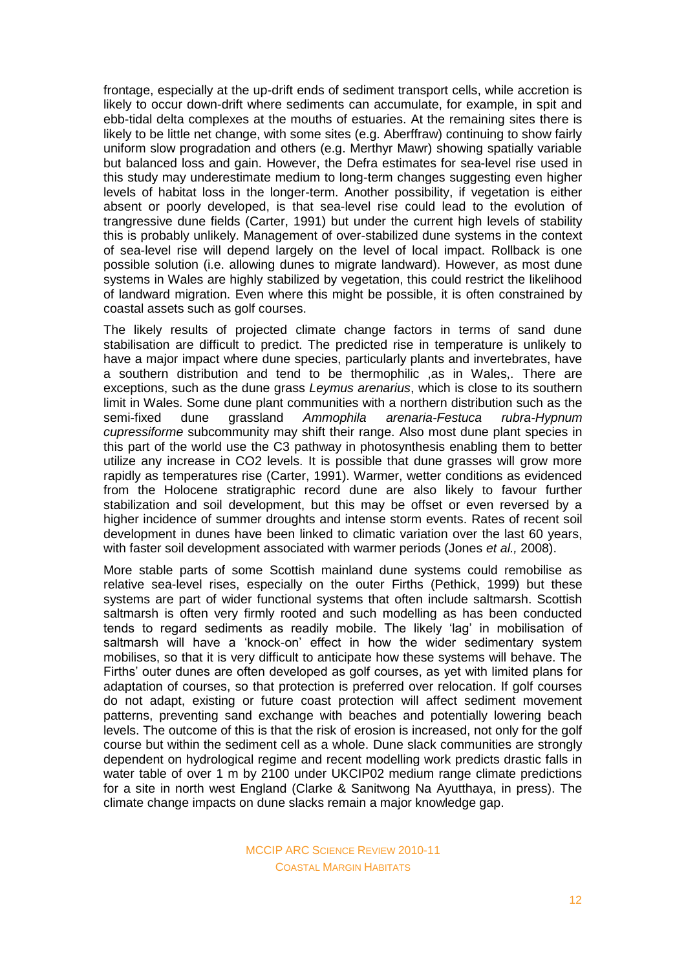frontage, especially at the up-drift ends of sediment transport cells, while accretion is likely to occur down-drift where sediments can accumulate, for example, in spit and ebb-tidal delta complexes at the mouths of estuaries. At the remaining sites there is likely to be little net change, with some sites (e.g. Aberffraw) continuing to show fairly uniform slow progradation and others (e.g. Merthyr Mawr) showing spatially variable but balanced loss and gain. However, the Defra estimates for sea-level rise used in this study may underestimate medium to long-term changes suggesting even higher levels of habitat loss in the longer-term. Another possibility, if vegetation is either absent or poorly developed, is that sea-level rise could lead to the evolution of trangressive dune fields (Carter, 1991) but under the current high levels of stability this is probably unlikely. Management of over-stabilized dune systems in the context of sea-level rise will depend largely on the level of local impact. Rollback is one possible solution (i.e. allowing dunes to migrate landward). However, as most dune systems in Wales are highly stabilized by vegetation, this could restrict the likelihood of landward migration. Even where this might be possible, it is often constrained by coastal assets such as golf courses.

The likely results of projected climate change factors in terms of sand dune stabilisation are difficult to predict. The predicted rise in temperature is unlikely to have a major impact where dune species, particularly plants and invertebrates, have a southern distribution and tend to be thermophilic ,as in Wales,. There are exceptions, such as the dune grass *Leymus arenarius*, which is close to its southern limit in Wales. Some dune plant communities with a northern distribution such as the semi-fixed dune grassland *Ammophila arenaria-Festuca rubra-Hypnum cupressiforme* subcommunity may shift their range. Also most dune plant species in this part of the world use the C3 pathway in photosynthesis enabling them to better utilize any increase in CO2 levels. It is possible that dune grasses will grow more rapidly as temperatures rise (Carter, 1991). Warmer, wetter conditions as evidenced from the Holocene stratigraphic record dune are also likely to favour further stabilization and soil development, but this may be offset or even reversed by a higher incidence of summer droughts and intense storm events. Rates of recent soil development in dunes have been linked to climatic variation over the last 60 years, with faster soil development associated with warmer periods (Jones *et al.,* 2008).

More stable parts of some Scottish mainland dune systems could remobilise as relative sea-level rises, especially on the outer Firths (Pethick, 1999) but these systems are part of wider functional systems that often include saltmarsh. Scottish saltmarsh is often very firmly rooted and such modelling as has been conducted tends to regard sediments as readily mobile. The likely 'lag' in mobilisation of saltmarsh will have a 'knock-on' effect in how the wider sedimentary system mobilises, so that it is very difficult to anticipate how these systems will behave. The Firths' outer dunes are often developed as golf courses, as yet with limited plans for adaptation of courses, so that protection is preferred over relocation. If golf courses do not adapt, existing or future coast protection will affect sediment movement patterns, preventing sand exchange with beaches and potentially lowering beach levels. The outcome of this is that the risk of erosion is increased, not only for the golf course but within the sediment cell as a whole. Dune slack communities are strongly dependent on hydrological regime and recent modelling work predicts drastic falls in water table of over 1 m by 2100 under UKCIP02 medium range climate predictions for a site in north west England (Clarke & Sanitwong Na Ayutthaya, in press). The climate change impacts on dune slacks remain a major knowledge gap.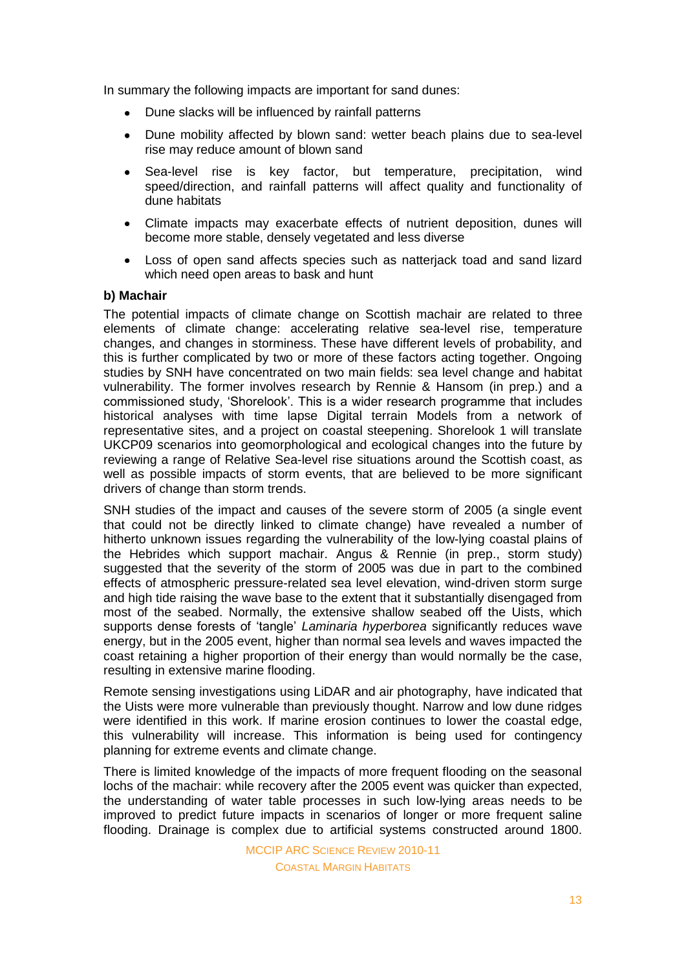In summary the following impacts are important for sand dunes:

- Dune slacks will be influenced by rainfall patterns
- Dune mobility affected by blown sand: wetter beach plains due to sea-level  $\bullet$ rise may reduce amount of blown sand
- $\bullet$ Sea-level rise is key factor, but temperature, precipitation, wind speed/direction, and rainfall patterns will affect quality and functionality of dune habitats
- Climate impacts may exacerbate effects of nutrient deposition, dunes will become more stable, densely vegetated and less diverse
- Loss of open sand affects species such as natterjack toad and sand lizard which need open areas to bask and hunt

### **b) Machair**

The potential impacts of climate change on Scottish machair are related to three elements of climate change: accelerating relative sea-level rise, temperature changes, and changes in storminess. These have different levels of probability, and this is further complicated by two or more of these factors acting together. Ongoing studies by SNH have concentrated on two main fields: sea level change and habitat vulnerability. The former involves research by Rennie & Hansom (in prep.) and a commissioned study, 'Shorelook'. This is a wider research programme that includes historical analyses with time lapse Digital terrain Models from a network of representative sites, and a project on coastal steepening. Shorelook 1 will translate UKCP09 scenarios into geomorphological and ecological changes into the future by reviewing a range of Relative Sea-level rise situations around the Scottish coast, as well as possible impacts of storm events, that are believed to be more significant drivers of change than storm trends.

SNH studies of the impact and causes of the severe storm of 2005 (a single event that could not be directly linked to climate change) have revealed a number of hitherto unknown issues regarding the vulnerability of the low-lying coastal plains of the Hebrides which support machair. Angus & Rennie (in prep., storm study) suggested that the severity of the storm of 2005 was due in part to the combined effects of atmospheric pressure-related sea level elevation, wind-driven storm surge and high tide raising the wave base to the extent that it substantially disengaged from most of the seabed. Normally, the extensive shallow seabed off the Uists, which supports dense forests of 'tangle' *Laminaria hyperborea* significantly reduces wave energy, but in the 2005 event, higher than normal sea levels and waves impacted the coast retaining a higher proportion of their energy than would normally be the case, resulting in extensive marine flooding.

Remote sensing investigations using LiDAR and air photography, have indicated that the Uists were more vulnerable than previously thought. Narrow and low dune ridges were identified in this work. If marine erosion continues to lower the coastal edge, this vulnerability will increase. This information is being used for contingency planning for extreme events and climate change.

There is limited knowledge of the impacts of more frequent flooding on the seasonal lochs of the machair: while recovery after the 2005 event was quicker than expected, the understanding of water table processes in such low-lying areas needs to be improved to predict future impacts in scenarios of longer or more frequent saline flooding. Drainage is complex due to artificial systems constructed around 1800.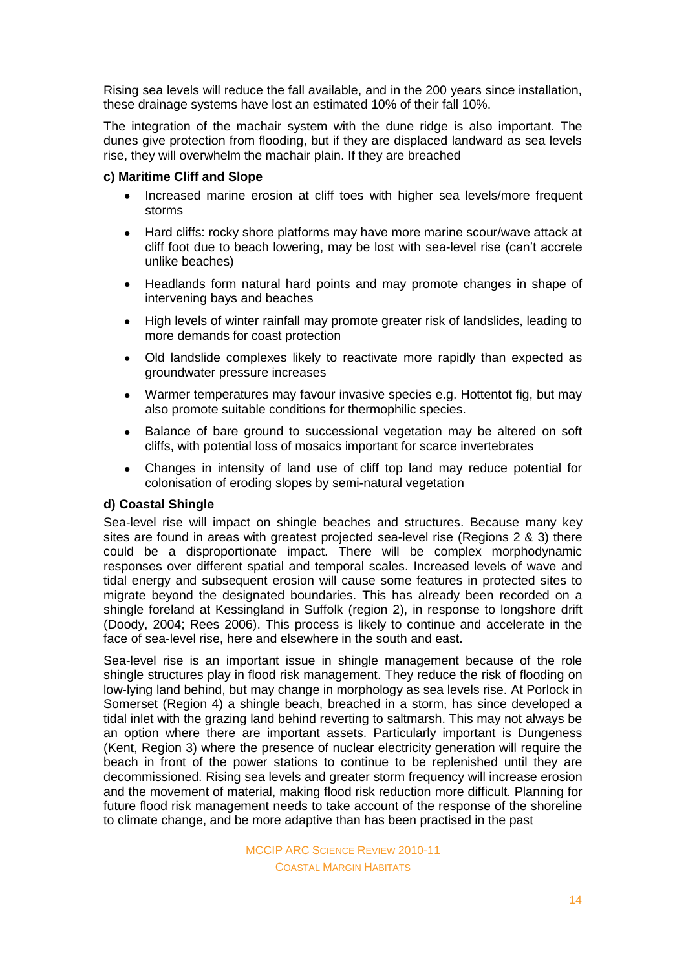Rising sea levels will reduce the fall available, and in the 200 years since installation, these drainage systems have lost an estimated 10% of their fall 10%.

The integration of the machair system with the dune ridge is also important. The dunes give protection from flooding, but if they are displaced landward as sea levels rise, they will overwhelm the machair plain. If they are breached

### **c) Maritime Cliff and Slope**

- Increased marine erosion at cliff toes with higher sea levels/more frequent storms
- Hard cliffs: rocky shore platforms may have more marine scour/wave attack at  $\bullet$ cliff foot due to beach lowering, may be lost with sea-level rise (can't accrete unlike beaches)
- Headlands form natural hard points and may promote changes in shape of  $\bullet$ intervening bays and beaches
- High levels of winter rainfall may promote greater risk of landslides, leading to  $\bullet$ more demands for coast protection
- Old landslide complexes likely to reactivate more rapidly than expected as  $\bullet$ groundwater pressure increases
- Warmer temperatures may favour invasive species e.g. Hottentot fig, but may  $\bullet$ also promote suitable conditions for thermophilic species.
- Balance of bare ground to successional vegetation may be altered on soft  $\bullet$ cliffs, with potential loss of mosaics important for scarce invertebrates
- $\bullet$ Changes in intensity of land use of cliff top land may reduce potential for colonisation of eroding slopes by semi-natural vegetation

### **d) Coastal Shingle**

Sea-level rise will impact on shingle beaches and structures. Because many key sites are found in areas with greatest projected sea-level rise (Regions 2 & 3) there could be a disproportionate impact. There will be complex morphodynamic responses over different spatial and temporal scales. Increased levels of wave and tidal energy and subsequent erosion will cause some features in protected sites to migrate beyond the designated boundaries. This has already been recorded on a shingle foreland at Kessingland in Suffolk (region 2), in response to longshore drift (Doody, 2004; Rees 2006). This process is likely to continue and accelerate in the face of sea-level rise, here and elsewhere in the south and east.

Sea-level rise is an important issue in shingle management because of the role shingle structures play in flood risk management. They reduce the risk of flooding on low-lying land behind, but may change in morphology as sea levels rise. At Porlock in Somerset (Region 4) a shingle beach, breached in a storm, has since developed a tidal inlet with the grazing land behind reverting to saltmarsh. This may not always be an option where there are important assets. Particularly important is Dungeness (Kent, Region 3) where the presence of nuclear electricity generation will require the beach in front of the power stations to continue to be replenished until they are decommissioned. Rising sea levels and greater storm frequency will increase erosion and the movement of material, making flood risk reduction more difficult. Planning for future flood risk management needs to take account of the response of the shoreline to climate change, and be more adaptive than has been practised in the past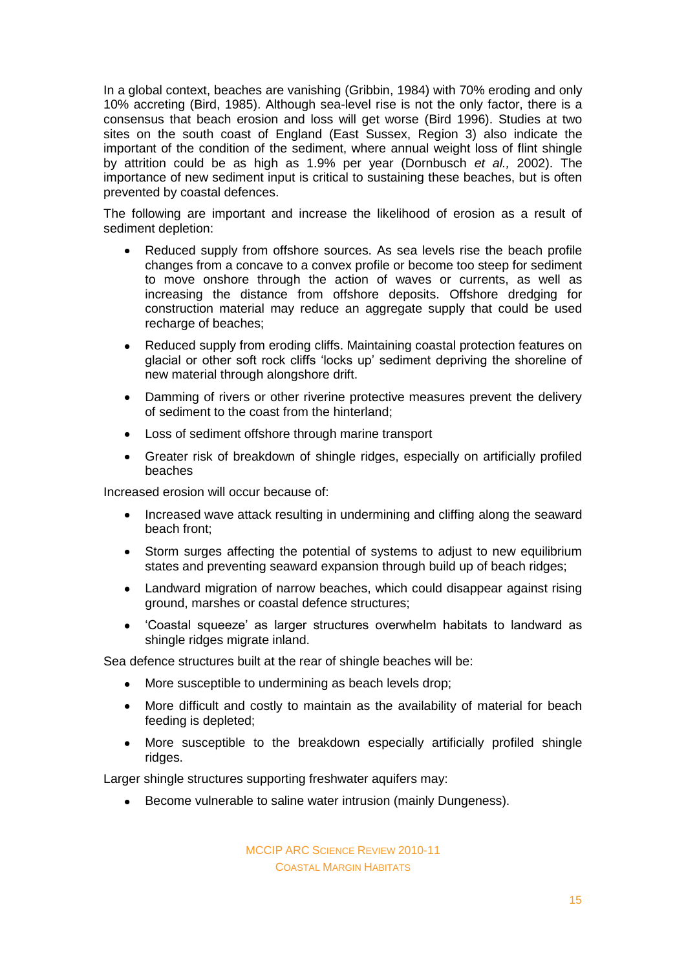In a global context, beaches are vanishing (Gribbin, 1984) with 70% eroding and only 10% accreting (Bird, 1985). Although sea-level rise is not the only factor, there is a consensus that beach erosion and loss will get worse (Bird 1996). Studies at two sites on the south coast of England (East Sussex, Region 3) also indicate the important of the condition of the sediment, where annual weight loss of flint shingle by attrition could be as high as 1.9% per year (Dornbusch *et al.,* 2002). The importance of new sediment input is critical to sustaining these beaches, but is often prevented by coastal defences.

The following are important and increase the likelihood of erosion as a result of sediment depletion:

- Reduced supply from offshore sources. As sea levels rise the beach profile  $\blacksquare$ changes from a concave to a convex profile or become too steep for sediment to move onshore through the action of waves or currents, as well as increasing the distance from offshore deposits. Offshore dredging for construction material may reduce an aggregate supply that could be used recharge of beaches:
- Reduced supply from eroding cliffs. Maintaining coastal protection features on  $\bullet$ glacial or other soft rock cliffs 'locks up' sediment depriving the shoreline of new material through alongshore drift.
- Damming of rivers or other riverine protective measures prevent the delivery of sediment to the coast from the hinterland;
- Loss of sediment offshore through marine transport  $\bullet$
- Greater risk of breakdown of shingle ridges, especially on artificially profiled beaches

Increased erosion will occur because of:

- Increased wave attack resulting in undermining and cliffing along the seaward  $\bullet$ beach front;
- Storm surges affecting the potential of systems to adjust to new equilibrium  $\bullet$ states and preventing seaward expansion through build up of beach ridges;
- Landward migration of narrow beaches, which could disappear against rising  $\bullet$ ground, marshes or coastal defence structures;
- 'Coastal squeeze' as larger structures overwhelm habitats to landward as  $\bullet$ shingle ridges migrate inland.

Sea defence structures built at the rear of shingle beaches will be:

- $\bullet$ More susceptible to undermining as beach levels drop;
- More difficult and costly to maintain as the availability of material for beach  $\bullet$ feeding is depleted;
- More susceptible to the breakdown especially artificially profiled shingle  $\bullet$ ridges.

Larger shingle structures supporting freshwater aquifers may:

• Become vulnerable to saline water intrusion (mainly Dungeness).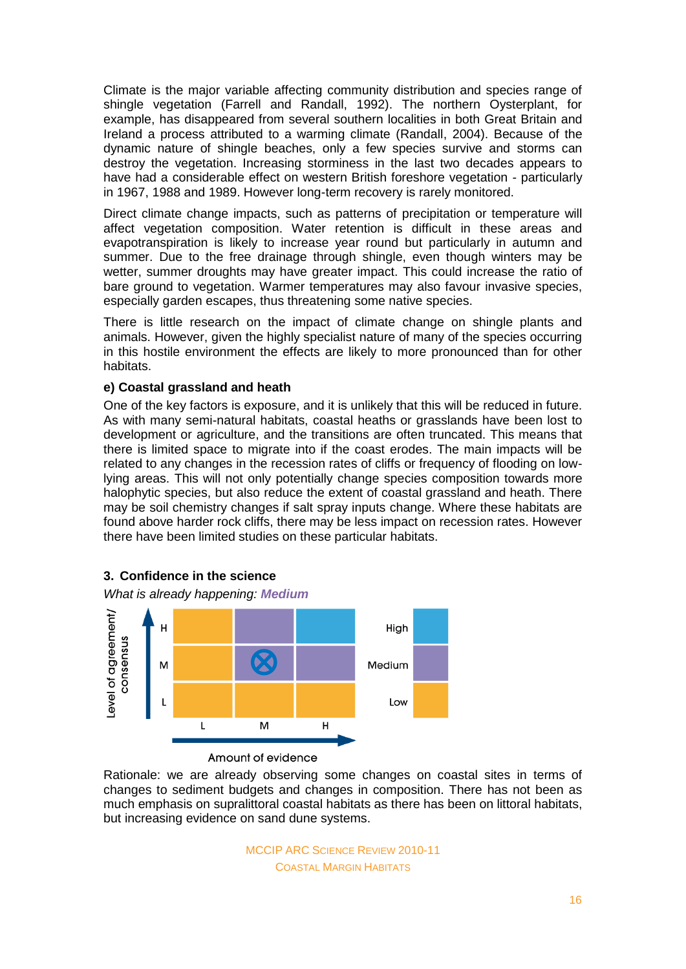Climate is the major variable affecting community distribution and species range of shingle vegetation (Farrell and Randall, 1992). The northern Oysterplant, for example, has disappeared from several southern localities in both Great Britain and Ireland a process attributed to a warming climate (Randall, 2004). Because of the dynamic nature of shingle beaches, only a few species survive and storms can destroy the vegetation. Increasing storminess in the last two decades appears to have had a considerable effect on western British foreshore vegetation - particularly in 1967, 1988 and 1989. However long-term recovery is rarely monitored.

Direct climate change impacts, such as patterns of precipitation or temperature will affect vegetation composition. Water retention is difficult in these areas and evapotranspiration is likely to increase year round but particularly in autumn and summer. Due to the free drainage through shingle, even though winters may be wetter, summer droughts may have greater impact. This could increase the ratio of bare ground to vegetation. Warmer temperatures may also favour invasive species, especially garden escapes, thus threatening some native species.

There is little research on the impact of climate change on shingle plants and animals. However, given the highly specialist nature of many of the species occurring in this hostile environment the effects are likely to more pronounced than for other habitats.

# **e) Coastal grassland and heath**

One of the key factors is exposure, and it is unlikely that this will be reduced in future. As with many semi-natural habitats, coastal heaths or grasslands have been lost to development or agriculture, and the transitions are often truncated. This means that there is limited space to migrate into if the coast erodes. The main impacts will be related to any changes in the recession rates of cliffs or frequency of flooding on lowlying areas. This will not only potentially change species composition towards more halophytic species, but also reduce the extent of coastal grassland and heath. There may be soil chemistry changes if salt spray inputs change. Where these habitats are found above harder rock cliffs, there may be less impact on recession rates. However there have been limited studies on these particular habitats.



**3. Confidence in the science**

Amount of evidence

Rationale: we are already observing some changes on coastal sites in terms of changes to sediment budgets and changes in composition. There has not been as much emphasis on supralittoral coastal habitats as there has been on littoral habitats, but increasing evidence on sand dune systems.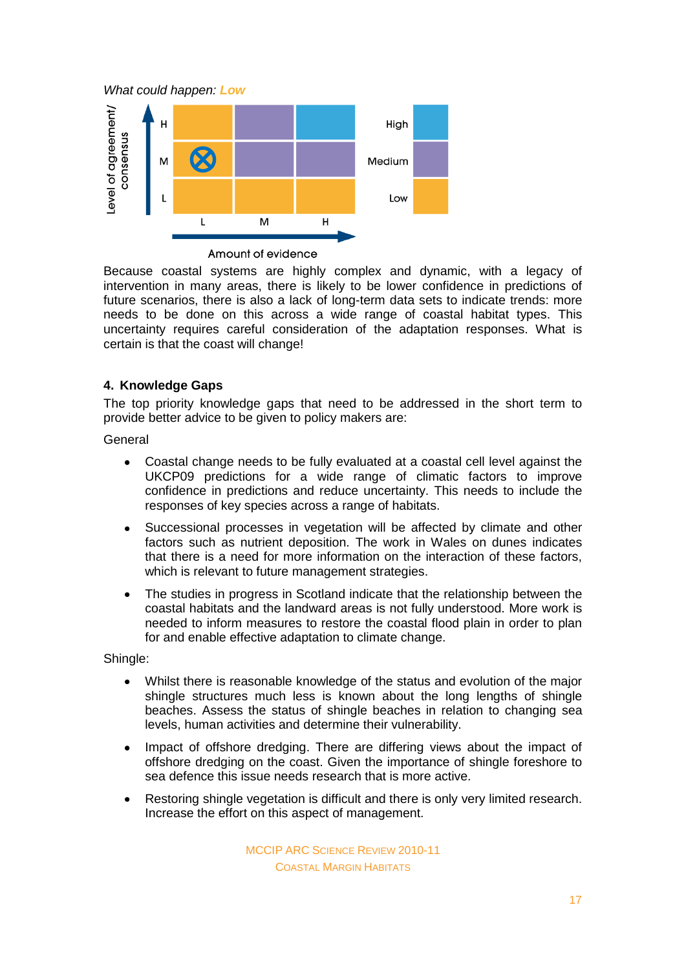*What could happen: Low*



Amount of evidence

Because coastal systems are highly complex and dynamic, with a legacy of intervention in many areas, there is likely to be lower confidence in predictions of future scenarios, there is also a lack of long-term data sets to indicate trends: more needs to be done on this across a wide range of coastal habitat types. This uncertainty requires careful consideration of the adaptation responses. What is certain is that the coast will change!

# **4. Knowledge Gaps**

The top priority knowledge gaps that need to be addressed in the short term to provide better advice to be given to policy makers are:

General

- Coastal change needs to be fully evaluated at a coastal cell level against the  $\bullet$ UKCP09 predictions for a wide range of climatic factors to improve confidence in predictions and reduce uncertainty. This needs to include the responses of key species across a range of habitats.
- Successional processes in vegetation will be affected by climate and other  $\bullet$ factors such as nutrient deposition. The work in Wales on dunes indicates that there is a need for more information on the interaction of these factors, which is relevant to future management strategies.
- The studies in progress in Scotland indicate that the relationship between the  $\bullet$ coastal habitats and the landward areas is not fully understood. More work is needed to inform measures to restore the coastal flood plain in order to plan for and enable effective adaptation to climate change.

Shingle:

- Whilst there is reasonable knowledge of the status and evolution of the major shingle structures much less is known about the long lengths of shingle beaches. Assess the status of shingle beaches in relation to changing sea levels, human activities and determine their vulnerability.
- Impact of offshore dredging. There are differing views about the impact of  $\bullet$ offshore dredging on the coast. Given the importance of shingle foreshore to sea defence this issue needs research that is more active.
- Restoring shingle vegetation is difficult and there is only very limited research.  $\bullet$ Increase the effort on this aspect of management.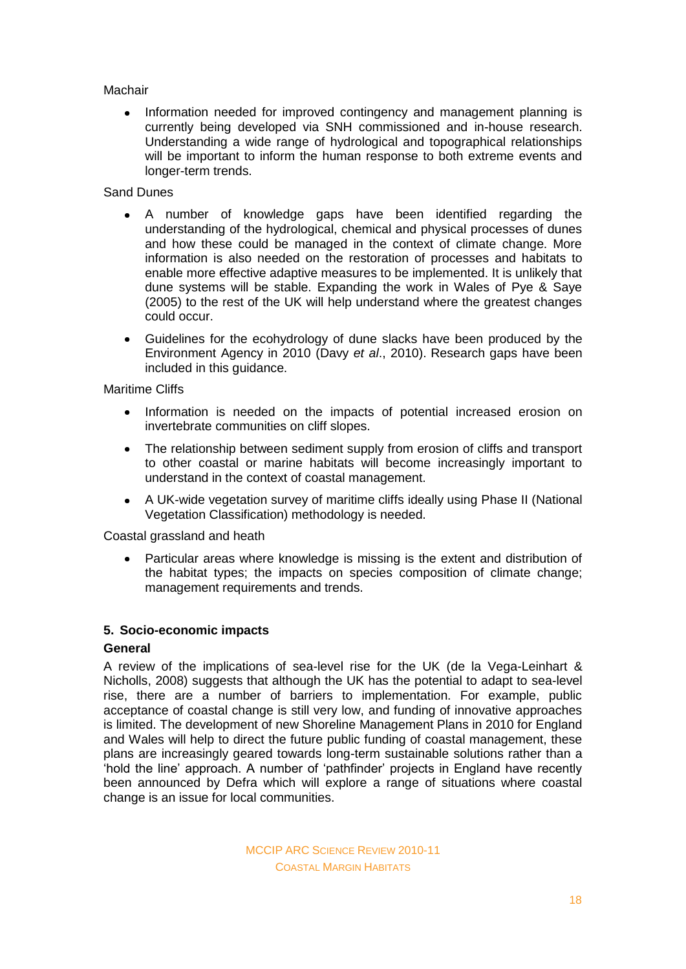# Machair

Information needed for improved contingency and management planning is  $\bullet$ currently being developed via SNH commissioned and in-house research. Understanding a wide range of hydrological and topographical relationships will be important to inform the human response to both extreme events and longer-term trends.

# Sand Dunes

- A number of knowledge gaps have been identified regarding the  $\bullet$ understanding of the hydrological, chemical and physical processes of dunes and how these could be managed in the context of climate change. More information is also needed on the restoration of processes and habitats to enable more effective adaptive measures to be implemented. It is unlikely that dune systems will be stable. Expanding the work in Wales of Pye & Saye (2005) to the rest of the UK will help understand where the greatest changes could occur.
- Guidelines for the ecohydrology of dune slacks have been produced by the Environment Agency in 2010 (Davy *et al*., 2010). Research gaps have been included in this guidance.

Maritime Cliffs

- $\bullet$ Information is needed on the impacts of potential increased erosion on invertebrate communities on cliff slopes.
- The relationship between sediment supply from erosion of cliffs and transport to other coastal or marine habitats will become increasingly important to understand in the context of coastal management.
- A UK-wide vegetation survey of maritime cliffs ideally using Phase II (National  $\bullet$ Vegetation Classification) methodology is needed.

Coastal grassland and heath

Particular areas where knowledge is missing is the extent and distribution of the habitat types; the impacts on species composition of climate change; management requirements and trends.

# **5. Socio-economic impacts**

# **General**

A review of the implications of sea-level rise for the UK (de la Vega-Leinhart & Nicholls, 2008) suggests that although the UK has the potential to adapt to sea-level rise, there are a number of barriers to implementation. For example, public acceptance of coastal change is still very low, and funding of innovative approaches is limited. The development of new Shoreline Management Plans in 2010 for England and Wales will help to direct the future public funding of coastal management, these plans are increasingly geared towards long-term sustainable solutions rather than a 'hold the line' approach. A number of 'pathfinder' projects in England have recently been announced by Defra which will explore a range of situations where coastal change is an issue for local communities.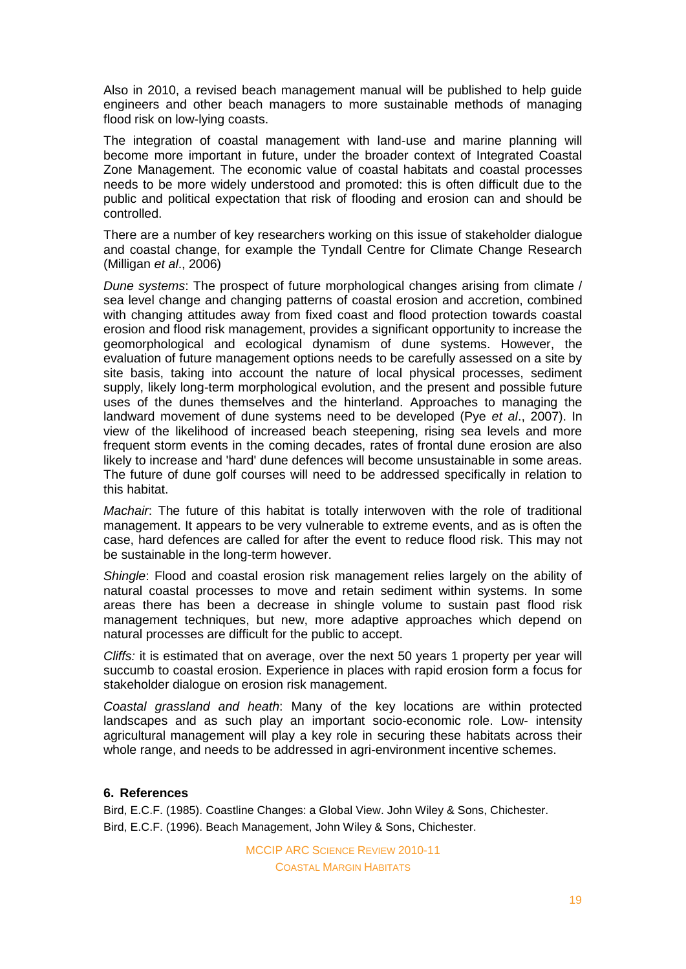Also in 2010, a revised beach management manual will be published to help guide engineers and other beach managers to more sustainable methods of managing flood risk on low-lying coasts.

The integration of coastal management with land-use and marine planning will become more important in future, under the broader context of Integrated Coastal Zone Management. The economic value of coastal habitats and coastal processes needs to be more widely understood and promoted: this is often difficult due to the public and political expectation that risk of flooding and erosion can and should be controlled.

There are a number of key researchers working on this issue of stakeholder dialogue and coastal change, for example the Tyndall Centre for Climate Change Research (Milligan *et al*., 2006)

*Dune systems*: The prospect of future morphological changes arising from climate / sea level change and changing patterns of coastal erosion and accretion, combined with changing attitudes away from fixed coast and flood protection towards coastal erosion and flood risk management, provides a significant opportunity to increase the geomorphological and ecological dynamism of dune systems. However, the evaluation of future management options needs to be carefully assessed on a site by site basis, taking into account the nature of local physical processes, sediment supply, likely long-term morphological evolution, and the present and possible future uses of the dunes themselves and the hinterland. Approaches to managing the landward movement of dune systems need to be developed (Pye *et al*., 2007). In view of the likelihood of increased beach steepening, rising sea levels and more frequent storm events in the coming decades, rates of frontal dune erosion are also likely to increase and 'hard' dune defences will become unsustainable in some areas. The future of dune golf courses will need to be addressed specifically in relation to this habitat.

*Machair*: The future of this habitat is totally interwoven with the role of traditional management. It appears to be very vulnerable to extreme events, and as is often the case, hard defences are called for after the event to reduce flood risk. This may not be sustainable in the long-term however.

*Shingle*: Flood and coastal erosion risk management relies largely on the ability of natural coastal processes to move and retain sediment within systems. In some areas there has been a decrease in shingle volume to sustain past flood risk management techniques, but new, more adaptive approaches which depend on natural processes are difficult for the public to accept.

*Cliffs:* it is estimated that on average, over the next 50 years 1 property per year will succumb to coastal erosion. Experience in places with rapid erosion form a focus for stakeholder dialogue on erosion risk management.

*Coastal grassland and heath*: Many of the key locations are within protected landscapes and as such play an important socio-economic role. Low- intensity agricultural management will play a key role in securing these habitats across their whole range, and needs to be addressed in agri-environment incentive schemes.

# **6. References**

Bird, E.C.F. (1985). Coastline Changes: a Global View. John Wiley & Sons, Chichester. Bird, E.C.F. (1996). Beach Management, John Wiley & Sons, Chichester.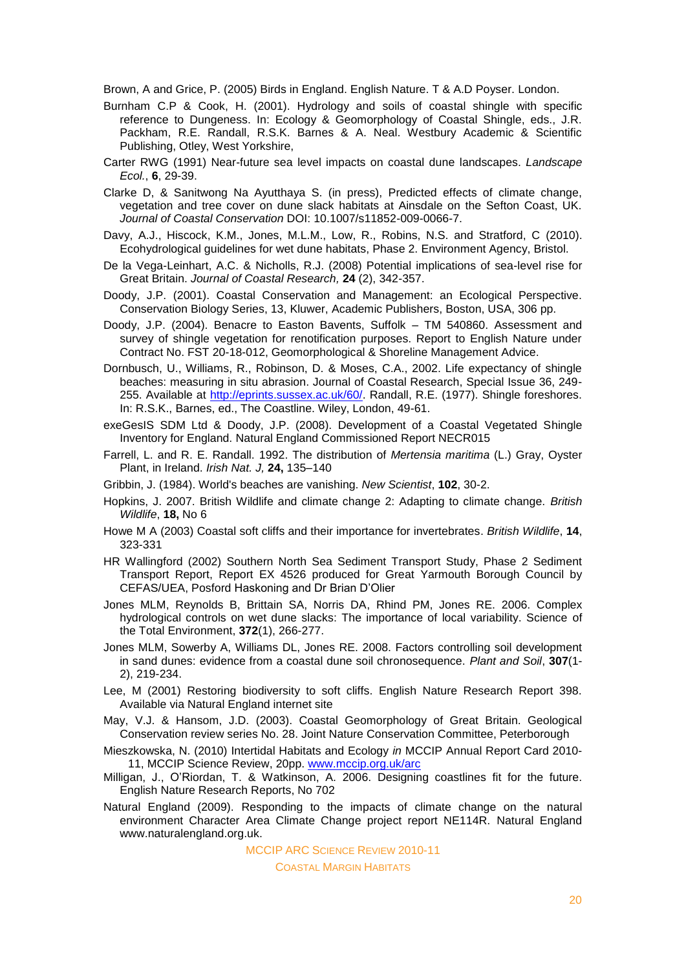Brown, A and Grice, P. (2005) Birds in England. English Nature. T & A.D Poyser. London.

- Burnham C.P & Cook, H. (2001). Hydrology and soils of coastal shingle with specific reference to Dungeness. In: Ecology & Geomorphology of Coastal Shingle, eds., J.R. Packham, R.E. Randall, R.S.K. Barnes & A. Neal. Westbury Academic & Scientific Publishing, Otley, West Yorkshire,
- Carter RWG (1991) Near-future sea level impacts on coastal dune landscapes. *Landscape Ecol.*, **6**, 29-39.
- Clarke D, & Sanitwong Na Ayutthaya S. (in press), Predicted effects of climate change, vegetation and tree cover on dune slack habitats at Ainsdale on the Sefton Coast, UK. *Journal of Coastal Conservation* DOI: 10.1007/s11852-009-0066-7.
- Davy, A.J., Hiscock, K.M., Jones, M.L.M., Low, R., Robins, N.S. and Stratford, C (2010). Ecohydrological guidelines for wet dune habitats, Phase 2. Environment Agency, Bristol.
- De la Vega-Leinhart, A.C. & Nicholls, R.J. (2008) Potential implications of sea-level rise for Great Britain. *Journal of Coastal Research,* **24** (2), 342-357.
- Doody, J.P. (2001). Coastal Conservation and Management: an Ecological Perspective. Conservation Biology Series, 13, Kluwer, Academic Publishers, Boston, USA, 306 pp.
- Doody, J.P. (2004). Benacre to Easton Bavents, Suffolk TM 540860. Assessment and survey of shingle vegetation for renotification purposes. Report to English Nature under Contract No. FST 20-18-012, Geomorphological & Shoreline Management Advice.
- Dornbusch, U., Williams, R., Robinson, D. & Moses, C.A., 2002. Life expectancy of shingle beaches: measuring in situ abrasion. Journal of Coastal Research, Special Issue 36, 249- 255. Available at [http://eprints.sussex.ac.uk/60/.](http://eprints.sussex.ac.uk/60/) Randall, R.E. (1977). Shingle foreshores. In: R.S.K., Barnes, ed., The Coastline. Wiley, London, 49-61.
- exeGesIS SDM Ltd & Doody, J.P. (2008). Development of a Coastal Vegetated Shingle Inventory for England. Natural England Commissioned Report NECR015
- Farrell, L. and R. E. Randall. 1992. The distribution of *Mertensia maritima* (L.) Gray, Oyster Plant, in Ireland. *Irish Nat. J,* **24,** 135–140
- Gribbin, J. (1984). World's beaches are vanishing. *New Scientist*, **102**, 30-2.
- Hopkins, J. 2007. British Wildlife and climate change 2: Adapting to climate change. *British Wildlife*, **18,** No 6
- Howe M A (2003) Coastal soft cliffs and their importance for invertebrates. *British Wildlife*, **14**, 323-331
- HR Wallingford (2002) Southern North Sea Sediment Transport Study, Phase 2 Sediment Transport Report, Report EX 4526 produced for Great Yarmouth Borough Council by CEFAS/UEA, Posford Haskoning and Dr Brian D'Olier
- Jones MLM, Reynolds B, Brittain SA, Norris DA, Rhind PM, Jones RE. 2006. Complex hydrological controls on wet dune slacks: The importance of local variability. Science of the Total Environment, **372**(1), 266-277.
- Jones MLM, Sowerby A, Williams DL, Jones RE. 2008. Factors controlling soil development in sand dunes: evidence from a coastal dune soil chronosequence. *Plant and Soil*, **307**(1- 2), 219-234.
- Lee, M (2001) Restoring biodiversity to soft cliffs. English Nature Research Report 398. Available via Natural England internet site
- May, V.J. & Hansom, J.D. (2003). Coastal Geomorphology of Great Britain. Geological Conservation review series No. 28. Joint Nature Conservation Committee, Peterborough
- Mieszkowska, N. (2010) Intertidal Habitats and Ecology *in* MCCIP Annual Report Card 2010- 11, MCCIP Science Review, 20pp. [www.mccip.org.uk/arc](http://www.mccip.org.uk/arc)
- Milligan, J., O'Riordan, T. & Watkinson, A. 2006. Designing coastlines fit for the future. English Nature Research Reports, No 702
- Natural England (2009). Responding to the impacts of climate change on the natural environment Character Area Climate Change project report NE114R. Natural England www.naturalengland.org.uk.